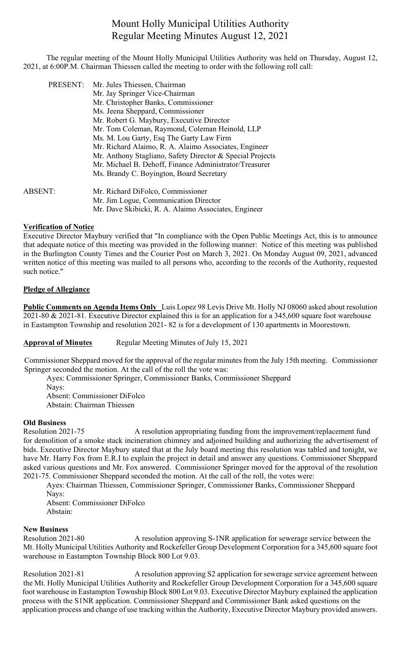# Mount Holly Municipal Utilities Authority Regular Meeting Minutes August 12, 2021

The regular meeting of the Mount Holly Municipal Utilities Authority was held on Thursday, August 12, 2021, at 6:00P.M. Chairman Thiessen called the meeting to order with the following roll call:

| PRESENT:       | Mr. Jules Thiessen, Chairman                              |
|----------------|-----------------------------------------------------------|
|                | Mr. Jay Springer Vice-Chairman                            |
|                | Mr. Christopher Banks, Commissioner                       |
|                | Ms. Jeena Sheppard, Commissioner                          |
|                | Mr. Robert G. Maybury, Executive Director                 |
|                | Mr. Tom Coleman, Raymond, Coleman Heinold, LLP            |
|                | Ms. M. Lou Garty, Esq The Garty Law Firm                  |
|                | Mr. Richard Alaimo, R. A. Alaimo Associates, Engineer     |
|                | Mr. Anthony Stagliano, Safety Director & Special Projects |
|                | Mr. Michael B. Dehoff, Finance Administrator/Treasurer    |
|                | Ms. Brandy C. Boyington, Board Secretary                  |
| <b>ABSENT:</b> | Mr. Richard DiFolco, Commissioner                         |
|                | Mr. Jim Logue, Communication Director                     |
|                | Mr. Dave Skibicki, R. A. Alaimo Associates, Engineer      |

#### **Verification of Notice**

Executive Director Maybury verified that "In compliance with the Open Public Meetings Act, this is to announce that adequate notice of this meeting was provided in the following manner: Notice of this meeting was published in the Burlington County Times and the Courier Post on March 3, 2021. On Monday August 09, 2021, advanced written notice of this meeting was mailed to all persons who, according to the records of the Authority, requested such notice."

#### **Pledge of Allegiance**

**Public Comments on Agenda Items Only** Luis Lopez 98 Levis Drive Mt. Holly NJ 08060 asked about resolution 2021-80 & 2021-81. Executive Director explained this is for an application for a 345,600 square foot warehouse in Eastampton Township and resolution 2021- 82 is for a development of 130 apartments in Moorestown.

# **Approval of Minutes** Regular Meeting Minutes of July 15, 2021

 Commissioner Sheppard moved for the approval of the regular minutes from the July 15th meeting. Commissioner Springer seconded the motion. At the call of the roll the vote was:

Ayes: Commissioner Springer, Commissioner Banks, Commissioner Sheppard Nays:

Absent: Commissioner DiFolco

Abstain: Chairman Thiessen

#### **Old Business**

Resolution 2021-75 A resolution appropriating funding from the improvement/replacement fund for demolition of a smoke stack incineration chimney and adjoined building and authorizing the advertisement of bids. Executive Director Maybury stated that at the July board meeting this resolution was tabled and tonight, we have Mr. Harry Fox from E.R.I to explain the project in detail and answer any questions. Commissioner Sheppard asked various questions and Mr. Fox answered. Commissioner Springer moved for the approval of the resolution 2021-75. Commissioner Sheppard seconded the motion. At the call of the roll, the votes were:

Ayes: Chairman Thiessen, Commissioner Springer, Commissioner Banks, Commissioner Sheppard Nays:

Absent: Commissioner DiFolco Abstain:

# **New Business**

Resolution 2021-80 A resolution approving S-1NR application for sewerage service between the Mt. Holly Municipal Utilities Authority and Rockefeller Group Development Corporation for a 345,600 square foot warehouse in Eastampton Township Block 800 Lot 9.03.

Resolution 2021-81 A resolution approving S2 application for sewerage service agreement between the Mt. Holly Municipal Utilities Authority and Rockefeller Group Development Corporation for a 345,600 square foot warehouse in Eastampton Township Block 800 Lot 9.03. Executive Director Maybury explained the application process with the S1NR application. Commissioner Sheppard and Commissioner Bank asked questions on the application process and change of use tracking within the Authority, Executive Director Maybury provided answers.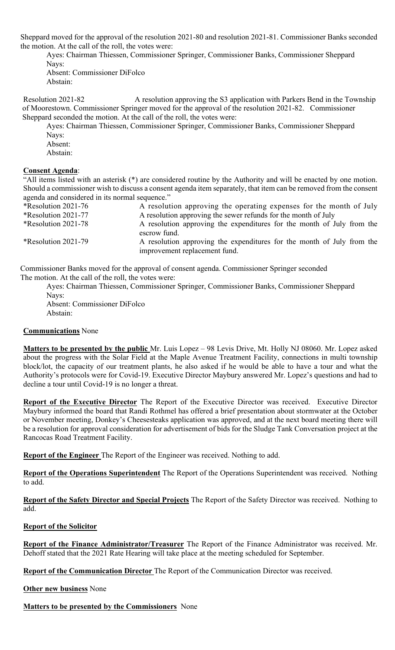Sheppard moved for the approval of the resolution 2021-80 and resolution 2021-81. Commissioner Banks seconded the motion. At the call of the roll, the votes were:

Ayes: Chairman Thiessen, Commissioner Springer, Commissioner Banks, Commissioner Sheppard Navs:

Absent: Commissioner DiFolco Abstain:

Resolution 2021-82 A resolution approving the S3 application with Parkers Bend in the Township of Moorestown. Commissioner Springer moved for the approval of the resolution 2021-82. Commissioner Sheppard seconded the motion. At the call of the roll, the votes were:

Ayes: Chairman Thiessen, Commissioner Springer, Commissioner Banks, Commissioner Sheppard Navs:

- Absent: Abstain:
- 

# **Consent Agenda**:

"All items listed with an asterisk (\*) are considered routine by the Authority and will be enacted by one motion. Should a commissioner wish to discuss a consent agenda item separately, that item can be removed from the consent agenda and considered in its normal sequence."

| *Resolution 2021-76 | A resolution approving the operating expenses for the month of July                                     |
|---------------------|---------------------------------------------------------------------------------------------------------|
| *Resolution 2021-77 | A resolution approving the sewer refunds for the month of July                                          |
| *Resolution 2021-78 | A resolution approving the expenditures for the month of July from the<br>escrow fund.                  |
| *Resolution 2021-79 | A resolution approving the expenditures for the month of July from the<br>improvement replacement fund. |

Commissioner Banks moved for the approval of consent agenda. Commissioner Springer seconded The motion. At the call of the roll, the votes were:

Ayes: Chairman Thiessen, Commissioner Springer, Commissioner Banks, Commissioner Sheppard Nays:

Absent: Commissioner DiFolco Abstain:

# **Communications** None

**Matters to be presented by the public** Mr. Luis Lopez – 98 Levis Drive, Mt. Holly NJ 08060. Mr. Lopez asked about the progress with the Solar Field at the Maple Avenue Treatment Facility, connections in multi township block/lot, the capacity of our treatment plants, he also asked if he would be able to have a tour and what the Authority's protocols were for Covid-19. Executive Director Maybury answered Mr. Lopez's questions and had to decline a tour until Covid-19 is no longer a threat.

**Report of the Executive Director** The Report of the Executive Director was received. Executive Director Maybury informed the board that Randi Rothmel has offered a brief presentation about stormwater at the October or November meeting, Donkey's Cheesesteaks application was approved, and at the next board meeting there will be a resolution for approval consideration for advertisement of bids for the Sludge Tank Conversation project at the Rancocas Road Treatment Facility.

**Report of the Engineer** The Report of the Engineer was received. Nothing to add.

**Report of the Operations Superintendent** The Report of the Operations Superintendent was received. Nothing to add.

**Report of the Safety Director and Special Projects** The Report of the Safety Director was received. Nothing to add.

# **Report of the Solicitor**

**Report of the Finance Administrator/Treasurer** The Report of the Finance Administrator was received. Mr. Dehoff stated that the 2021 Rate Hearing will take place at the meeting scheduled for September.

**Report of the Communication Director** The Report of the Communication Director was received.

**Other new business** None

**Matters to be presented by the Commissioners** None